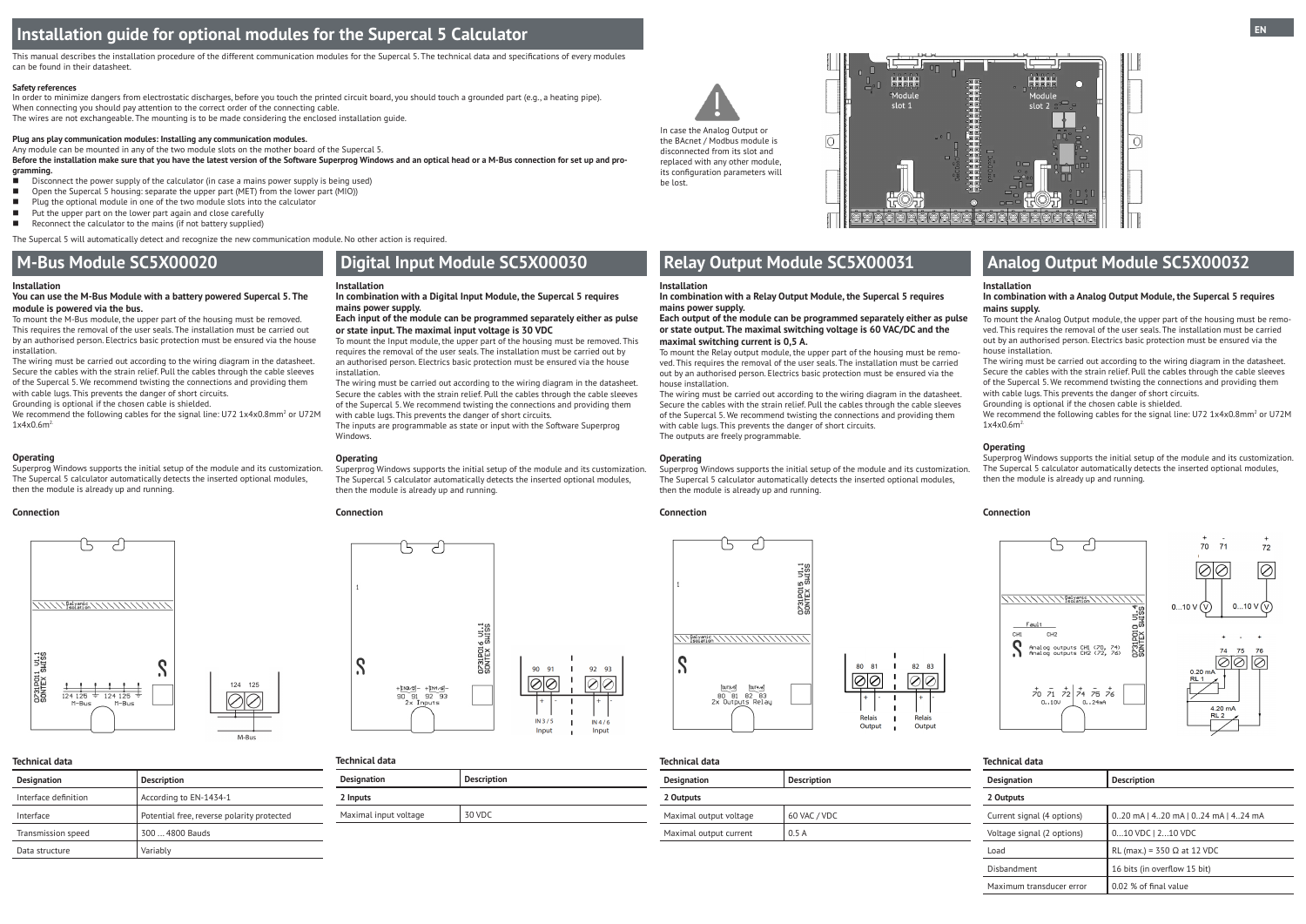# **Installation guide for optional modules for the Supercal 5 Calculator**

#### **Installation**

#### **You can use the M-Bus Module with a battery powered Supercal 5. The module is powered via the bus.**

To mount the M-Bus module, the upper part of the housing must be removed. This requires the removal of the user seals. The installation must be carried out by an authorised person. Electrics basic protection must be ensured via the house installation.

We recommend the following cables for the signal line: U72 1x4x0.8mm<sup>2</sup> or U72M 1x4x0.6m2.

The wiring must be carried out according to the wiring diagram in the datasheet. Secure the cables with the strain relief. Pull the cables through the cable sleeves of the Supercal 5. We recommend twisting the connections and providing them with cable lugs. This prevents the danger of short circuits.

Grounding is optional if the chosen cable is shielded.

#### **Operating**

Superprog Windows supports the initial setup of the module and its customization. The Supercal 5 calculator automatically detects the inserted optional modules, then the module is already up and running.

We recommend the following cables for the signal line: U72 1x4x0.8mm<sup>2</sup> or U72M 1x4x0.6m2.

#### **Connection**

#### **Technical data Designation Description**

| Designation          | Description                                |
|----------------------|--------------------------------------------|
| Interface definition | According to EN-1434-1                     |
| Interface            | Potential free, reverse polarity protected |
| Transmission speed   | 300  4800 Bauds                            |
| Data structure       | Variably                                   |

#### **Installation**

#### **In combination with a Analog Output Module, the Supercal 5 requires mains supply.**

To mount the Analog Output module, the upper part of the housing must be removed. This requires the removal of the user seals. The installation must be carried out by an authorised person. Electrics basic protection must be ensured via the house installation.

The wiring must be carried out according to the wiring diagram in the datasheet. Secure the cables with the strain relief. Pull the cables through the cable sleeves of the Supercal 5. We recommend twisting the connections and providing them with cable lugs. This prevents the danger of short circuits.

Grounding is optional if the chosen cable is shielded.

This manual describes the installation procedure of the different communication modules for the Supercal 5. The technical data and specifications of every modules can be found in their datasheet.

#### **Connection**



**Installation**

**In combination with a Relay Output Module, the Supercal 5 requires** 

**mains power supply.** 

# **Each output of the module can be programmed separately either as pulse**

**or state output. The maximal switching voltage is 60 VAC/DC and the** 

**Operating** Superprog Windows supports the initial setup of the module and its customization. The Supercal 5 calculator automatically detects the inserted optional modules, then the module is already up and running. Superprog Windows supports the initial setup of the module and its customization.

**maximal switching current is 0,5 A.**

To mount the Relay output module, the upper part of the housing must be removed. This requires the removal of the user seals. The installation must be carried out by an authorised person. Electrics basic protection must be ensured via the

|                    | <b>Technical data</b>      |                                      |  |
|--------------------|----------------------------|--------------------------------------|--|
| <b>Description</b> | <b>Designation</b>         | <b>Description</b>                   |  |
|                    | 2 Outputs                  |                                      |  |
| 60 VAC / VDC       | Current signal (4 options) | $0.20$ mA   420 mA   024 mA   424 mA |  |
| 0.5A               | Voltage signal (2 options) | 010 VDC   210 VDC                    |  |
|                    | Load                       | RL (max.) = $350 \Omega$ at 12 VDC   |  |
|                    | Disbandment                | 16 bits (in overflow 15 bit)         |  |
|                    | Maximum transducer error   | 0.02 % of final value                |  |
|                    |                            |                                      |  |

house installation.

The wiring must be carried out according to the wiring diagram in the datasheet. Secure the cables with the strain relief. Pull the cables through the cable sleeves of the Supercal 5. We recommend twisting the connections and providing them

with cable lugs. This prevents the danger of short circuits.

The outputs are freely programmable.

**Operating**

The Supercal 5 calculator automatically detects the inserted optional modules,



then the module is already up and running.





#### **Safety references**

In order to minimize dangers from electrostatic discharges, before you touch the printed circuit board, you should touch a grounded part (e.g., a heating pipe). When connecting you should pay attention to the correct order of the connecting cable. The wires are not exchangeable. The mounting is to be made considering the enclosed installation guide.

#### **Plug ans play communication modules: Installing any communication modules.**

Any module can be mounted in any of the two module slots on the mother board of the Supercal 5.

**Before the installation make sure that you have the latest version of the Software Superprog Windows and an optical head or a M-Bus connection for set up and programming.**

- Disconnect the power supply of the calculator (in case a mains power supply is being used)
- $\Box$  Open the Supercal 5 housing: separate the upper part (MET) from the lower part (MIO))
- $\blacksquare$  Plug the optional module in one of the two module slots into the calculator
- $\blacksquare$  Put the upper part on the lower part again and close carefully
- $\blacksquare$  Reconnect the calculator to the mains (if not battery supplied)

The Supercal 5 will automatically detect and recognize the new communication module. No other action is required.

# **M-Bus Module SC5X00020 Digital Input Module SC5X00030 Relay Output Module SC5X00031 Analog Output Module SC5X00032**

#### **Installation**

#### **In combination with a Digital Input Module, the Supercal 5 requires mains power supply.**

**Each input of the module can be programmed separately either as pulse or state input. The maximal input voltage is 30 VDC**

To mount the Input module, the upper part of the housing must be removed. This requires the removal of the user seals. The installation must be carried out by an authorised person. Electrics basic protection must be ensured via the house installation.

The wiring must be carried out according to the wiring diagram in the datasheet. Secure the cables with the strain relief. Pull the cables through the cable sleeves of the Supercal 5. We recommend twisting the connections and providing them with cable lugs. This prevents the danger of short circuits.

The inputs are programmable as state or input with the Software Superprog Windows.

#### **Operating**

Superprog Windows supports the initial setup of the module and its customization. The Supercal 5 calculator automatically detects the inserted optional modules, then the module is already up and running.

#### **Connection**



## **Technical data**

| <b>Designation</b>    | <b>Description</b> |
|-----------------------|--------------------|
| 2 Inputs              |                    |
| Maximal input voltage | 30 VDC             |



the BAcnet / Modbus module is disconnected from its slot and replaced with any other module, its configuration parameters will be lost.